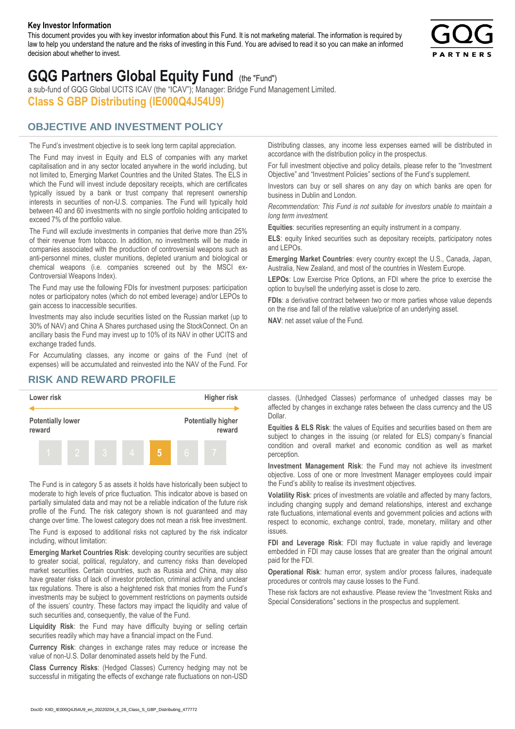#### **Key Investor Information**

This document provides you with key investor information about this Fund. It is not marketing material. The information is required by law to help you understand the nature and the risks of investing in this Fund. You are advised to read it so you can make an informed decision about whether to invest.



# **GQG Partners Global Equity Fund** (the "Fund")

a sub-fund of GQG Global UCITS ICAV (the "ICAV"); Manager: Bridge Fund Management Limited. **Class S GBP Distributing (IE000Q4J54U9)**

## **OBJECTIVE AND INVESTMENT POLICY**

The Fund's investment objective is to seek long term capital appreciation. The Fund may invest in Equity and ELS of companies with any market capitalisation and in any sector located anywhere in the world including, but not limited to, Emerging Market Countries and the United States. The ELS in which the Fund will invest include depositary receipts, which are certificates typically issued by a bank or trust company that represent ownership interests in securities of non-U.S. companies. The Fund will typically hold between 40 and 60 investments with no single portfolio holding anticipated to exceed 7% of the portfolio value.

The Fund will exclude investments in companies that derive more than 25% of their revenue from tobacco. In addition, no investments will be made in companies associated with the production of controversial weapons such as anti-personnel mines, cluster munitions, depleted uranium and biological or chemical weapons (i.e. companies screened out by the MSCI ex-Controversial Weapons Index).

The Fund may use the following FDIs for investment purposes: participation notes or participatory notes (which do not embed leverage) and/or LEPOs to gain access to inaccessible securities.

Investments may also include securities listed on the Russian market (up to 30% of NAV) and China A Shares purchased using the StockConnect. On an ancillary basis the Fund may invest up to 10% of its NAV in other UCITS and exchange traded funds.

For Accumulating classes, any income or gains of the Fund (net of expenses) will be accumulated and reinvested into the NAV of the Fund. For Distributing classes, any income less expenses earned will be distributed in accordance with the distribution policy in the prospectus.

For full investment objective and policy details, please refer to the "Investment Objective" and "Investment Policies" sections of the Fund's supplement.

Investors can buy or sell shares on any day on which banks are open for business in Dublin and London.

*Recommendation: This Fund is not suitable for investors unable to maintain a long term investment.*

**Equities**: securities representing an equity instrument in a company.

**ELS**: equity linked securities such as depositary receipts, participatory notes and LEPOs.

**Emerging Market Countries**: every country except the U.S., Canada, Japan, Australia, New Zealand, and most of the countries in Western Europe.

**LEPOs**: Low Exercise Price Options, an FDI where the price to exercise the option to buy/sell the underlying asset is close to zero.

**FDIs**: a derivative contract between two or more parties whose value depends on the rise and fall of the relative value/price of an underlying asset.

**NAV**: net asset value of the Fund.

### **RISK AND REWARD PROFILE**



The Fund is in category 5 as assets it holds have historically been subject to moderate to high levels of price fluctuation. This indicator above is based on partially simulated data and may not be a reliable indication of the future risk profile of the Fund. The risk category shown is not guaranteed and may change over time. The lowest category does not mean a risk free investment.

The Fund is exposed to additional risks not captured by the risk indicator including, without limitation:

**Emerging Market Countries Risk**: developing country securities are subject to greater social, political, regulatory, and currency risks than developed market securities. Certain countries, such as Russia and China, may also have greater risks of lack of investor protection, criminal activity and unclear tax regulations. There is also a heightened risk that monies from the Fund's investments may be subject to government restrictions on payments outside of the issuers' country. These factors may impact the liquidity and value of such securities and, consequently, the value of the Fund.

**Liquidity Risk**: the Fund may have difficulty buying or selling certain securities readily which may have a financial impact on the Fund.

**Currency Risk**: changes in exchange rates may reduce or increase the value of non-U.S. Dollar denominated assets held by the Fund.

**Class Currency Risks**: (Hedged Classes) Currency hedging may not be successful in mitigating the effects of exchange rate fluctuations on non-USD classes. (Unhedged Classes) performance of unhedged classes may be affected by changes in exchange rates between the class currency and the US Dollar.

**Equities & ELS Risk**: the values of Equities and securities based on them are subject to changes in the issuing (or related for ELS) company's financial condition and overall market and economic condition as well as market perception.

**Investment Management Risk**: the Fund may not achieve its investment objective. Loss of one or more Investment Manager employees could impair the Fund's ability to realise its investment objectives.

**Volatility Risk**: prices of investments are volatile and affected by many factors, including changing supply and demand relationships, interest and exchange rate fluctuations, international events and government policies and actions with respect to economic, exchange control, trade, monetary, military and other issues.

**FDI and Leverage Risk**: FDI may fluctuate in value rapidly and leverage embedded in FDI may cause losses that are greater than the original amount paid for the FDI.

**Operational Risk**: human error, system and/or process failures, inadequate procedures or controls may cause losses to the Fund.

These risk factors are not exhaustive. Please review the "Investment Risks and Special Considerations" sections in the prospectus and supplement.